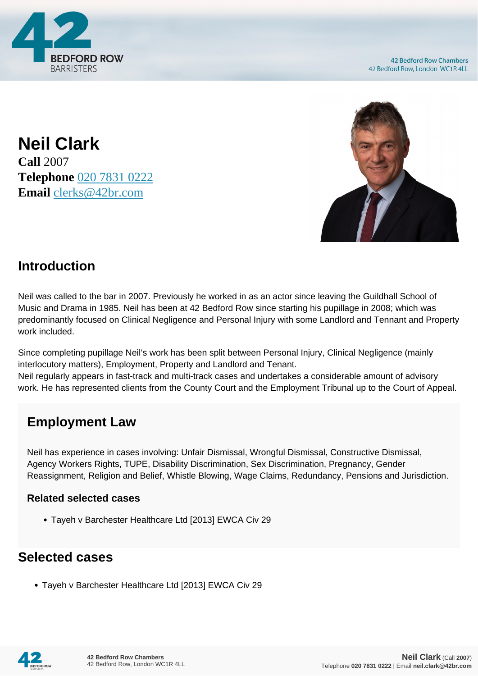

**Neil Clark Call** 2007 **Telephone** [020 7831 0222](https://pdf.codeshore.co/_42br/tel:020 7831 0222) **Email** [clerks@42br.com](mailto:clerks@42br.com)



### **Introduction**

Neil was called to the bar in 2007. Previously he worked in as an actor since leaving the Guildhall School of Music and Drama in 1985. Neil has been at 42 Bedford Row since starting his pupillage in 2008; which was predominantly focused on Clinical Negligence and Personal Injury with some Landlord and Tennant and Property work included.

Since completing pupillage Neil's work has been split between Personal Injury, Clinical Negligence (mainly interlocutory matters), Employment, Property and Landlord and Tenant. Neil regularly appears in fast-track and multi-track cases and undertakes a considerable amount of advisory work. He has represented clients from the County Court and the Employment Tribunal up to the Court of Appeal.

# **Employment Law**

Neil has experience in cases involving: Unfair Dismissal, Wrongful Dismissal, Constructive Dismissal, Agency Workers Rights, TUPE, Disability Discrimination, Sex Discrimination, Pregnancy, Gender Reassignment, Religion and Belief, Whistle Blowing, Wage Claims, Redundancy, Pensions and Jurisdiction.

#### **Related selected cases**

Tayeh v Barchester Healthcare Ltd [2013] EWCA Civ 29

### **Selected cases**

Tayeh v Barchester Healthcare Ltd [2013] EWCA Civ 29